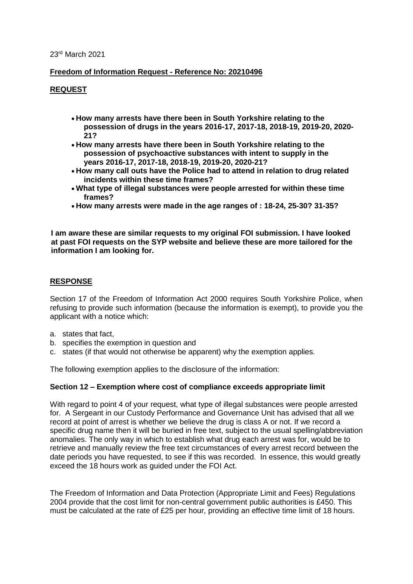23rd March 2021

## **Freedom of Information Request - Reference No: 20210496**

# **REQUEST**

- **How many arrests have there been in South Yorkshire relating to the possession of drugs in the years 2016-17, 2017-18, 2018-19, 2019-20, 2020- 21?**
- **How many arrests have there been in South Yorkshire relating to the possession of psychoactive substances with intent to supply in the years 2016-17, 2017-18, 2018-19, 2019-20, 2020-21?**
- **How many call outs have the Police had to attend in relation to drug related incidents within these time frames?**
- **What type of illegal substances were people arrested for within these time frames?**
- **How many arrests were made in the age ranges of : 18-24, 25-30? 31-35?**

**I am aware these are similar requests to my original FOI submission. I have looked at past FOI requests on the SYP website and believe these are more tailored for the information I am looking for.**

## **RESPONSE**

Section 17 of the Freedom of Information Act 2000 requires South Yorkshire Police, when refusing to provide such information (because the information is exempt), to provide you the applicant with a notice which:

- a. states that fact,
- b. specifies the exemption in question and
- c. states (if that would not otherwise be apparent) why the exemption applies.

The following exemption applies to the disclosure of the information:

### **Section 12 – Exemption where cost of compliance exceeds appropriate limit**

With regard to point 4 of your request, what type of illegal substances were people arrested for. A Sergeant in our Custody Performance and Governance Unit has advised that all we record at point of arrest is whether we believe the drug is class A or not. If we record a specific drug name then it will be buried in free text, subject to the usual spelling/abbreviation anomalies. The only way in which to establish what drug each arrest was for, would be to retrieve and manually review the free text circumstances of every arrest record between the date periods you have requested, to see if this was recorded. In essence, this would greatly exceed the 18 hours work as guided under the FOI Act.

The Freedom of Information and Data Protection (Appropriate Limit and Fees) Regulations 2004 provide that the cost limit for non-central government public authorities is £450. This must be calculated at the rate of £25 per hour, providing an effective time limit of 18 hours.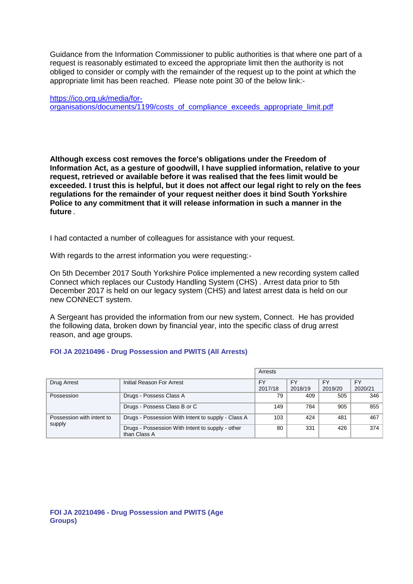Guidance from the Information Commissioner to public authorities is that where one part of a request is reasonably estimated to exceed the appropriate limit then the authority is not obliged to consider or comply with the remainder of the request up to the point at which the appropriate limit has been reached. Please note point 30 of the below link:-

[https://ico.org.uk/media/for](https://ico.org.uk/media/for-organisations/documents/1199/costs_of_compliance_exceeds_appropriate_limit.pdf)[organisations/documents/1199/costs\\_of\\_compliance\\_exceeds\\_appropriate\\_limit.pdf](https://ico.org.uk/media/for-organisations/documents/1199/costs_of_compliance_exceeds_appropriate_limit.pdf)

**Although excess cost removes the force's obligations under the Freedom of Information Act, as a gesture of goodwill, I have supplied information, relative to your request, retrieved or available before it was realised that the fees limit would be exceeded. I trust this is helpful, but it does not affect our legal right to rely on the fees regulations for the remainder of your request neither does it bind South Yorkshire Police to any commitment that it will release information in such a manner in the future** *.*

I had contacted a number of colleagues for assistance with your request.

With regards to the arrest information you were requesting:-

On 5th December 2017 South Yorkshire Police implemented a new recording system called Connect which replaces our Custody Handling System (CHS) . Arrest data prior to 5th December 2017 is held on our legacy system (CHS) and latest arrest data is held on our new CONNECT system.

A Sergeant has provided the information from our new system, Connect. He has provided the following data, broken down by financial year, into the specific class of drug arrest reason, and age groups.

### **FOI JA 20210496 - Drug Possession and PWITS (All Arrests)**

|                                     |                                                                  | Arrests |           |         |           |
|-------------------------------------|------------------------------------------------------------------|---------|-----------|---------|-----------|
| Drug Arrest                         | Initial Reason For Arrest                                        | FY      | <b>FY</b> | FY      | <b>FY</b> |
|                                     |                                                                  | 2017/18 | 2018/19   | 2019/20 | 2020/21   |
| Possession                          | Drugs - Possess Class A                                          | 79      | 409       | 505     | 346       |
|                                     | Drugs - Possess Class B or C                                     | 149     | 784       | 905     | 855       |
| Possession with intent to<br>supply | Drugs - Possession With Intent to supply - Class A               | 103     | 424       | 481     | 467       |
|                                     | Drugs - Possession With Intent to supply - other<br>than Class A | 80      | 331       | 426     | 374       |